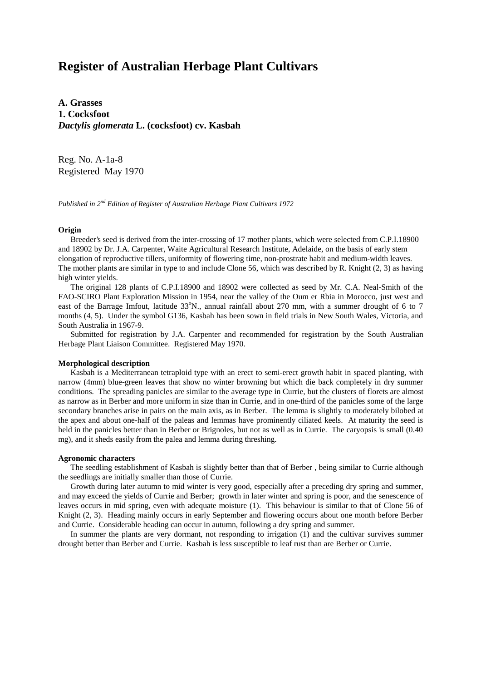# **Register of Australian Herbage Plant Cultivars**

**A. Grasses 1. Cocksfoot** *Dactylis glomerata* **L. (cocksfoot) cv. Kasbah**

Reg. No. A-1a-8 Registered May 1970

*Published in 2nd Edition of Register of Australian Herbage Plant Cultivars 1972*

### **Origin**

 Breeder's seed is derived from the inter-crossing of 17 mother plants, which were selected from C.P.I.18900 and 18902 by Dr. J.A. Carpenter, Waite Agricultural Research Institute, Adelaide, on the basis of early stem elongation of reproductive tillers, uniformity of flowering time, non-prostrate habit and medium-width leaves. The mother plants are similar in type to and include Clone 56, which was described by R. Knight (2, 3) as having high winter yields.

 The original 128 plants of C.P.I.18900 and 18902 were collected as seed by Mr. C.A. Neal-Smith of the FAO-SCIRO Plant Exploration Mission in 1954, near the valley of the Oum er Rbia in Morocco, just west and east of the Barrage Imfout, latitude 33°N., annual rainfall about 270 mm, with a summer drought of 6 to 7 months (4, 5). Under the symbol G136, Kasbah has been sown in field trials in New South Wales, Victoria, and South Australia in 1967-9.

 Submitted for registration by J.A. Carpenter and recommended for registration by the South Australian Herbage Plant Liaison Committee. Registered May 1970.

#### **Morphological description**

 Kasbah is a Mediterranean tetraploid type with an erect to semi-erect growth habit in spaced planting, with narrow (4mm) blue-green leaves that show no winter browning but which die back completely in dry summer conditions. The spreading panicles are similar to the average type in Currie, but the clusters of florets are almost as narrow as in Berber and more uniform in size than in Currie, and in one-third of the panicles some of the large secondary branches arise in pairs on the main axis, as in Berber. The lemma is slightly to moderately bilobed at the apex and about one-half of the paleas and lemmas have prominently ciliated keels. At maturity the seed is held in the panicles better than in Berber or Brignoles, but not as well as in Currie. The caryopsis is small (0.40) mg), and it sheds easily from the palea and lemma during threshing.

#### **Agronomic characters**

 The seedling establishment of Kasbah is slightly better than that of Berber , being similar to Currie although the seedlings are initially smaller than those of Currie.

 Growth during later autumn to mid winter is very good, especially after a preceding dry spring and summer, and may exceed the yields of Currie and Berber; growth in later winter and spring is poor, and the senescence of leaves occurs in mid spring, even with adequate moisture (1). This behaviour is similar to that of Clone 56 of Knight (2, 3). Heading mainly occurs in early September and flowering occurs about one month before Berber and Currie. Considerable heading can occur in autumn, following a dry spring and summer.

 In summer the plants are very dormant, not responding to irrigation (1) and the cultivar survives summer drought better than Berber and Currie. Kasbah is less susceptible to leaf rust than are Berber or Currie.